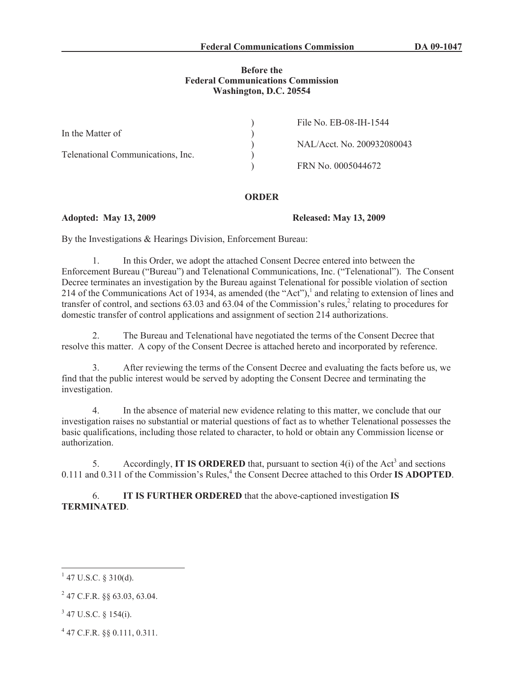### **Before the Federal Communications Commission Washington, D.C. 20554**

|                                   | File No. EB-08-IH-1544     |
|-----------------------------------|----------------------------|
| In the Matter of                  |                            |
|                                   | NAL/Acct. No. 200932080043 |
| Telenational Communications, Inc. |                            |
|                                   | FRN No. 0005044672         |

#### **ORDER**

### **Adopted: May 13, 2009 Released: May 13, 2009**

By the Investigations & Hearings Division, Enforcement Bureau:

1. In this Order, we adopt the attached Consent Decree entered into between the Enforcement Bureau ("Bureau") and Telenational Communications, Inc. ("Telenational"). The Consent Decree terminates an investigation by the Bureau against Telenational for possible violation of section 214 of the Communications Act of 1934, as amended (the "Act"),<sup>1</sup> and relating to extension of lines and transfer of control, and sections  $63.03$  and  $63.04$  of the Commission's rules,<sup>2</sup> relating to procedures for domestic transfer of control applications and assignment of section 214 authorizations.

2. The Bureau and Telenational have negotiated the terms of the Consent Decree that resolve this matter. A copy of the Consent Decree is attached hereto and incorporated by reference.

3. After reviewing the terms of the Consent Decree and evaluating the facts before us, we find that the public interest would be served by adopting the Consent Decree and terminating the investigation.

4. In the absence of material new evidence relating to this matter, we conclude that our investigation raises no substantial or material questions of fact as to whether Telenational possesses the basic qualifications, including those related to character, to hold or obtain any Commission license or authorization.

5. Accordingly, **IT IS ORDERED** that, pursuant to section  $4(i)$  of the Act<sup>3</sup> and sections 0.111 and 0.311 of the Commission's Rules,<sup>4</sup> the Consent Decree attached to this Order **IS ADOPTED**.

6. **IT IS FURTHER ORDERED** that the above-captioned investigation **IS TERMINATED**.

- $3$  47 U.S.C. § 154(i).
- 4 47 C.F.R. §§ 0.111, 0.311.

 $1$  47 U.S.C. § 310(d).

 $^{2}$  47 C.F.R. §§ 63.03, 63.04.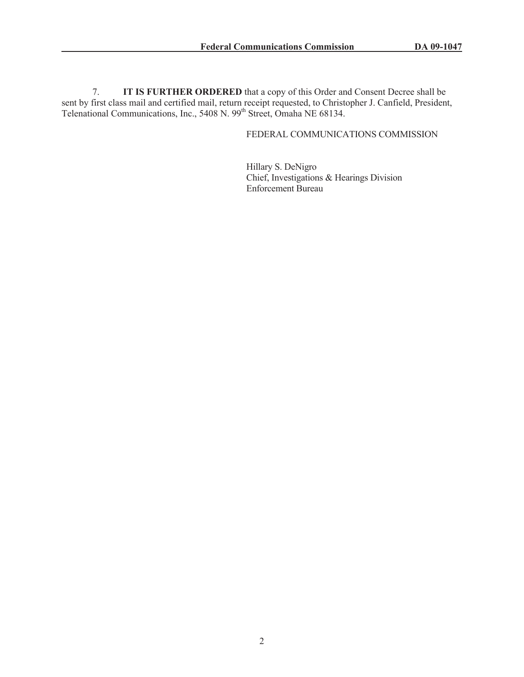7. **IT IS FURTHER ORDERED** that a copy of this Order and Consent Decree shall be sent by first class mail and certified mail, return receipt requested, to Christopher J. Canfield, President, Telenational Communications, Inc., 5408 N. 99<sup>th</sup> Street, Omaha NE 68134.

# FEDERAL COMMUNICATIONS COMMISSION

Hillary S. DeNigro Chief, Investigations & Hearings Division Enforcement Bureau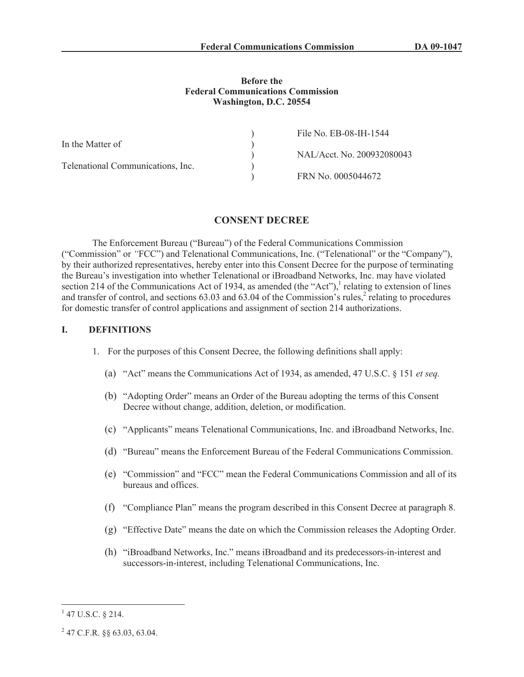#### **Before the Federal Communications Commission Washington, D.C. 20554**

|                                   | File No. EB-08-IH-1544     |
|-----------------------------------|----------------------------|
| In the Matter of                  |                            |
|                                   | NAL/Acct. No. 200932080043 |
| Telenational Communications, Inc. |                            |
|                                   | FRN No. 0005044672         |

# **CONSENT DECREE**

The Enforcement Bureau ("Bureau") of the Federal Communications Commission ("Commission" or *"*FCC") and Telenational Communications, Inc. ("Telenational" or the "Company"), by their authorized representatives, hereby enter into this Consent Decree for the purpose of terminating the Bureau's investigation into whether Telenational or iBroadband Networks, Inc. may have violated section 214 of the Communications Act of 1934, as amended (the "Act"), $<sup>1</sup>$  relating to extension of lines</sup> and transfer of control, and sections  $63.03$  and  $63.04$  of the Commission's rules,<sup>2</sup> relating to procedures for domestic transfer of control applications and assignment of section 214 authorizations.

# **I. DEFINITIONS**

- 1. For the purposes of this Consent Decree, the following definitions shall apply:
	- (a) "Act" means the Communications Act of 1934, as amended, 47 U.S.C. § 151 *et seq.*
	- (b) "Adopting Order" means an Order of the Bureau adopting the terms of this Consent Decree without change, addition, deletion, or modification.
	- (c) "Applicants" means Telenational Communications, Inc. and iBroadband Networks, Inc.
	- (d) "Bureau" means the Enforcement Bureau of the Federal Communications Commission.
	- (e) "Commission" and "FCC" mean the Federal Communications Commission and all of its bureaus and offices.
	- (f) "Compliance Plan" means the program described in this Consent Decree at paragraph 8.
	- (g) "Effective Date" means the date on which the Commission releases the Adopting Order.
	- (h) "iBroadband Networks, Inc." means iBroadband and its predecessors-in-interest and successors-in-interest, including Telenational Communications, Inc.

 $1$  47 U.S.C. § 214.

 $^{2}$  47 C.F.R. §§ 63.03, 63.04.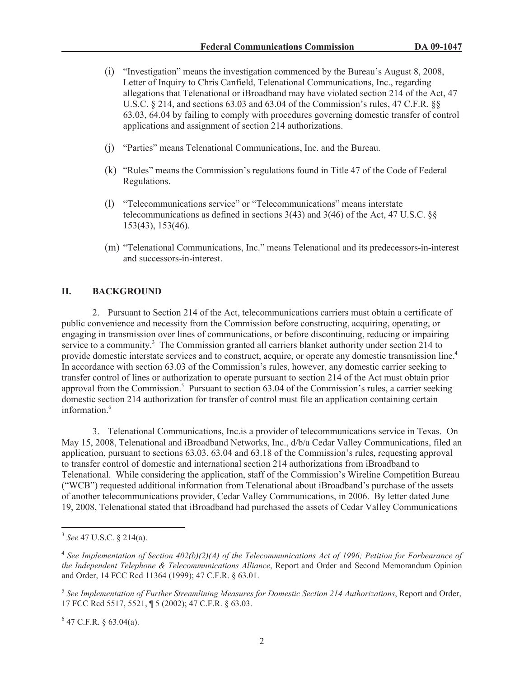- (i) "Investigation" means the investigation commenced by the Bureau's August 8, 2008, Letter of Inquiry to Chris Canfield, Telenational Communications, Inc., regarding allegations that Telenational or iBroadband may have violated section 214 of the Act, 47 U.S.C. § 214, and sections 63.03 and 63.04 of the Commission's rules, 47 C.F.R. §§ 63.03, 64.04 by failing to comply with procedures governing domestic transfer of control applications and assignment of section 214 authorizations.
- (j) "Parties" means Telenational Communications, Inc. and the Bureau.
- (k) "Rules" means the Commission's regulations found in Title 47 of the Code of Federal Regulations.
- (l) "Telecommunications service" or "Telecommunications" means interstate telecommunications as defined in sections 3(43) and 3(46) of the Act, 47 U.S.C. §§ 153(43), 153(46).
- (m) "Telenational Communications, Inc." means Telenational and its predecessors-in-interest and successors-in-interest.

# **II. BACKGROUND**

2. Pursuant to Section 214 of the Act, telecommunications carriers must obtain a certificate of public convenience and necessity from the Commission before constructing, acquiring, operating, or engaging in transmission over lines of communications, or before discontinuing, reducing or impairing service to a community.<sup>3</sup> The Commission granted all carriers blanket authority under section 214 to provide domestic interstate services and to construct, acquire, or operate any domestic transmission line.<sup>4</sup> In accordance with section 63.03 of the Commission's rules, however, any domestic carrier seeking to transfer control of lines or authorization to operate pursuant to section 214 of the Act must obtain prior approval from the Commission.<sup>5</sup> Pursuant to section 63.04 of the Commission's rules, a carrier seeking domestic section 214 authorization for transfer of control must file an application containing certain information.<sup>6</sup>

3. Telenational Communications, Inc.is a provider of telecommunications service in Texas. On May 15, 2008, Telenational and iBroadband Networks, Inc., d/b/a Cedar Valley Communications, filed an application, pursuant to sections 63.03, 63.04 and 63.18 of the Commission's rules, requesting approval to transfer control of domestic and international section 214 authorizations from iBroadband to Telenational. While considering the application, staff of the Commission's Wireline Competition Bureau ("WCB") requested additional information from Telenational about iBroadband's purchase of the assets of another telecommunications provider, Cedar Valley Communications, in 2006. By letter dated June 19, 2008, Telenational stated that iBroadband had purchased the assets of Cedar Valley Communications

 $6$  47 C.F.R. § 63.04(a).

<sup>3</sup> *See* 47 U.S.C. § 214(a).

<sup>&</sup>lt;sup>4</sup> See Implementation of Section 402(b)(2)(A) of the Telecommunications Act of 1996; Petition for Forbearance of *the Independent Telephone & Telecommunications Alliance*, Report and Order and Second Memorandum Opinion and Order, 14 FCC Rcd 11364 (1999); 47 C.F.R. § 63.01.

<sup>5</sup> *See Implementation of Further Streamlining Measures for Domestic Section 214 Authorizations*, Report and Order, 17 FCC Rcd 5517, 5521, ¶ 5 (2002); 47 C.F.R. § 63.03.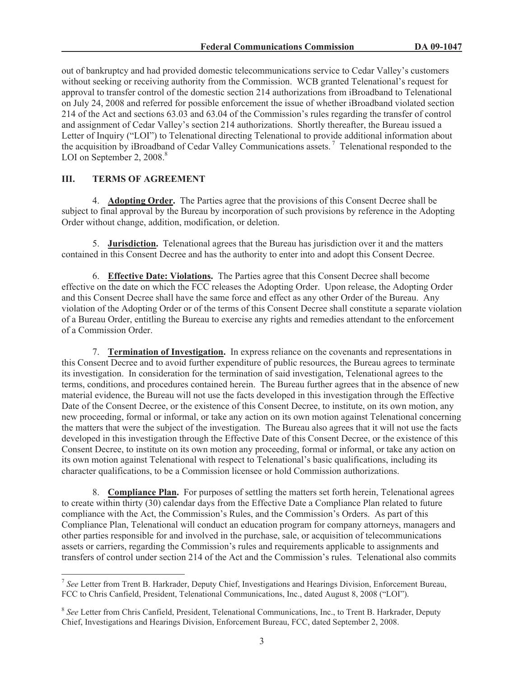out of bankruptcy and had provided domestic telecommunications service to Cedar Valley's customers without seeking or receiving authority from the Commission. WCB granted Telenational's request for approval to transfer control of the domestic section 214 authorizations from iBroadband to Telenational on July 24, 2008 and referred for possible enforcement the issue of whether iBroadband violated section 214 of the Act and sections 63.03 and 63.04 of the Commission's rules regarding the transfer of control and assignment of Cedar Valley's section 214 authorizations. Shortly thereafter, the Bureau issued a Letter of Inquiry ("LOI") to Telenational directing Telenational to provide additional information about the acquisition by iBroadband of Cedar Valley Communications assets. <sup>7</sup> Telenational responded to the LOI on September 2,  $2008$ .<sup>8</sup>

# **III. TERMS OF AGREEMENT**

4. **Adopting Order.** The Parties agree that the provisions of this Consent Decree shall be subject to final approval by the Bureau by incorporation of such provisions by reference in the Adopting Order without change, addition, modification, or deletion.

5. **Jurisdiction.** Telenational agrees that the Bureau has jurisdiction over it and the matters contained in this Consent Decree and has the authority to enter into and adopt this Consent Decree.

6. **Effective Date: Violations.** The Parties agree that this Consent Decree shall become effective on the date on which the FCC releases the Adopting Order. Upon release, the Adopting Order and this Consent Decree shall have the same force and effect as any other Order of the Bureau. Any violation of the Adopting Order or of the terms of this Consent Decree shall constitute a separate violation of a Bureau Order, entitling the Bureau to exercise any rights and remedies attendant to the enforcement of a Commission Order.

7. **Termination of Investigation.** In express reliance on the covenants and representations in this Consent Decree and to avoid further expenditure of public resources, the Bureau agrees to terminate its investigation. In consideration for the termination of said investigation, Telenational agrees to the terms, conditions, and procedures contained herein. The Bureau further agrees that in the absence of new material evidence, the Bureau will not use the facts developed in this investigation through the Effective Date of the Consent Decree, or the existence of this Consent Decree, to institute, on its own motion, any new proceeding, formal or informal, or take any action on its own motion against Telenational concerning the matters that were the subject of the investigation. The Bureau also agrees that it will not use the facts developed in this investigation through the Effective Date of this Consent Decree, or the existence of this Consent Decree, to institute on its own motion any proceeding, formal or informal, or take any action on its own motion against Telenational with respect to Telenational's basic qualifications, including its character qualifications, to be a Commission licensee or hold Commission authorizations.

8. **Compliance Plan.** For purposes of settling the matters set forth herein, Telenational agrees to create within thirty (30) calendar days from the Effective Date a Compliance Plan related to future compliance with the Act, the Commission's Rules, and the Commission's Orders. As part of this Compliance Plan, Telenational will conduct an education program for company attorneys, managers and other parties responsible for and involved in the purchase, sale, or acquisition of telecommunications assets or carriers, regarding the Commission's rules and requirements applicable to assignments and transfers of control under section 214 of the Act and the Commission's rules. Telenational also commits

<sup>7</sup> *See* Letter from Trent B. Harkrader, Deputy Chief, Investigations and Hearings Division, Enforcement Bureau, FCC to Chris Canfield, President, Telenational Communications, Inc., dated August 8, 2008 ("LOI").

<sup>&</sup>lt;sup>8</sup> See Letter from Chris Canfield, President, Telenational Communications, Inc., to Trent B. Harkrader, Deputy Chief, Investigations and Hearings Division, Enforcement Bureau, FCC, dated September 2, 2008.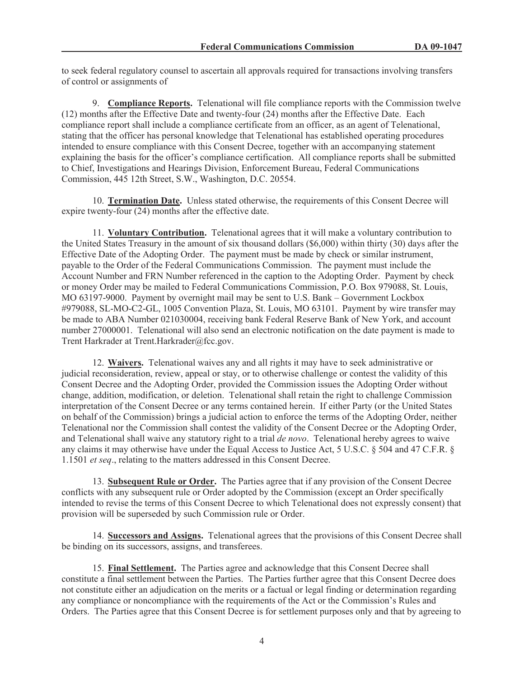to seek federal regulatory counsel to ascertain all approvals required for transactions involving transfers of control or assignments of

9. **Compliance Reports.** Telenational will file compliance reports with the Commission twelve (12) months after the Effective Date and twenty-four (24) months after the Effective Date. Each compliance report shall include a compliance certificate from an officer, as an agent of Telenational, stating that the officer has personal knowledge that Telenational has established operating procedures intended to ensure compliance with this Consent Decree, together with an accompanying statement explaining the basis for the officer's compliance certification. All compliance reports shall be submitted to Chief, Investigations and Hearings Division, Enforcement Bureau, Federal Communications Commission, 445 12th Street, S.W., Washington, D.C. 20554.

10. **Termination Date.** Unless stated otherwise, the requirements of this Consent Decree will expire twenty-four (24) months after the effective date.

11. **Voluntary Contribution.** Telenational agrees that it will make a voluntary contribution to the United States Treasury in the amount of six thousand dollars (\$6,000) within thirty (30) days after the Effective Date of the Adopting Order. The payment must be made by check or similar instrument, payable to the Order of the Federal Communications Commission. The payment must include the Account Number and FRN Number referenced in the caption to the Adopting Order. Payment by check or money Order may be mailed to Federal Communications Commission, P.O. Box 979088, St. Louis, MO 63197-9000. Payment by overnight mail may be sent to U.S. Bank – Government Lockbox #979088, SL-MO-C2-GL, 1005 Convention Plaza, St. Louis, MO 63101. Payment by wire transfer may be made to ABA Number 021030004, receiving bank Federal Reserve Bank of New York, and account number 27000001. Telenational will also send an electronic notification on the date payment is made to Trent Harkrader at Trent.Harkrader@fcc.gov.

12. **Waivers.** Telenational waives any and all rights it may have to seek administrative or judicial reconsideration, review, appeal or stay, or to otherwise challenge or contest the validity of this Consent Decree and the Adopting Order, provided the Commission issues the Adopting Order without change, addition, modification, or deletion. Telenational shall retain the right to challenge Commission interpretation of the Consent Decree or any terms contained herein. If either Party (or the United States on behalf of the Commission) brings a judicial action to enforce the terms of the Adopting Order, neither Telenational nor the Commission shall contest the validity of the Consent Decree or the Adopting Order, and Telenational shall waive any statutory right to a trial *de novo*. Telenational hereby agrees to waive any claims it may otherwise have under the Equal Access to Justice Act, 5 U.S.C. § 504 and 47 C.F.R. § 1.1501 *et seq*., relating to the matters addressed in this Consent Decree.

13. **Subsequent Rule or Order.** The Parties agree that if any provision of the Consent Decree conflicts with any subsequent rule or Order adopted by the Commission (except an Order specifically intended to revise the terms of this Consent Decree to which Telenational does not expressly consent) that provision will be superseded by such Commission rule or Order.

14. **Successors and Assigns.** Telenational agrees that the provisions of this Consent Decree shall be binding on its successors, assigns, and transferees.

15. **Final Settlement.** The Parties agree and acknowledge that this Consent Decree shall constitute a final settlement between the Parties. The Parties further agree that this Consent Decree does not constitute either an adjudication on the merits or a factual or legal finding or determination regarding any compliance or noncompliance with the requirements of the Act or the Commission's Rules and Orders. The Parties agree that this Consent Decree is for settlement purposes only and that by agreeing to